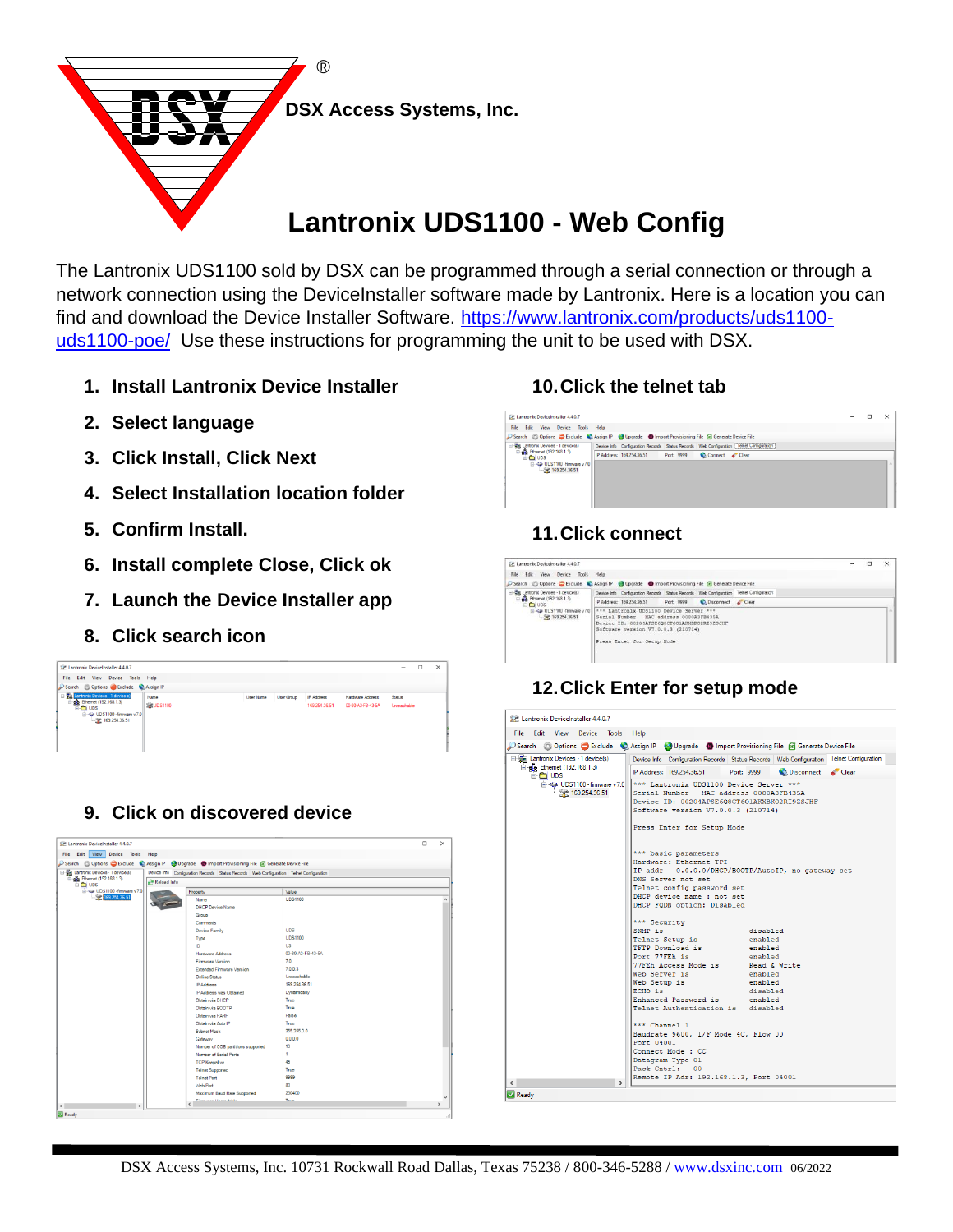

# **Lantronix UDS1100 - Web Config**

The Lantronix UDS1100 sold by DSX can be programmed through a serial connection or through a network connection using the DeviceInstaller software made by Lantronix. Here is a location you can find and download the Device Installer Software. [https://www.lantronix.com/products/uds1100](https://www.lantronix.com/products/uds1100-uds1100-poe/) [uds1100-poe/](https://www.lantronix.com/products/uds1100-uds1100-poe/) Use these instructions for programming the unit to be used with DSX.

- **1. Install Lantronix Device Installer**
- **2. Select language**
- **3. Click Install, Click Next**
- **4. Select Installation location folder**
- **5. Confirm Install.**
- **6. Install complete Close, Click ok**
- **7. Launch the Device Installer app**
- **8. Click search icon**



# **9. Click on discovered device**

|                                                   | Search @ Options G Exclude & Assign IP @ Upgrade G Import Provisioning File & Generate Device File |                   |               |
|---------------------------------------------------|----------------------------------------------------------------------------------------------------|-------------------|---------------|
| <b>El Bantronix Devices - 1 device(s)</b>         | Device Info Configuration Records Status Records Web Configuration Telnet Configuration            |                   |               |
| <sup>2</sup> g <sup>2</sup> Ethemet (192.168.1.3) | Reload Info                                                                                        |                   |               |
| <b>B-C UDS</b><br>El-42 UDS1100 - firmware v7.0   |                                                                                                    | Value             |               |
| 169 254 36 51                                     | Property<br>Name                                                                                   | <b>UDS1100</b>    |               |
|                                                   | <b>DHCP Device Name</b>                                                                            |                   |               |
|                                                   | Group                                                                                              |                   |               |
|                                                   | Comments                                                                                           |                   |               |
|                                                   | Device Family                                                                                      | <b>UDS</b>        |               |
|                                                   |                                                                                                    | <b>UDS1100</b>    |               |
|                                                   | Type<br>m                                                                                          | U3                |               |
|                                                   | Hardware Address                                                                                   | 00-80-A3-FB-43-5A |               |
|                                                   | Firmware Version                                                                                   | 7.0               |               |
|                                                   |                                                                                                    | 7.0.0.3           |               |
|                                                   | <b>Extended Firmware Version</b>                                                                   | Unreachable       |               |
|                                                   | <b>Online Status</b>                                                                               | 169 254 36 51     |               |
|                                                   | IP Address                                                                                         |                   |               |
|                                                   | IP Address was Obtained                                                                            | Dynamically       |               |
|                                                   | Obtain via DHCP                                                                                    | True              |               |
|                                                   | Obtain via BOOTP                                                                                   | True              |               |
|                                                   | Obtain via RARP                                                                                    | False             |               |
|                                                   | Obtain via Auto IP                                                                                 | True              |               |
|                                                   | <b>Subnet Mank</b>                                                                                 | 255 255 0.0       |               |
|                                                   | Gateway                                                                                            | 0.0.0.0           |               |
|                                                   | Number of COB partitions supported                                                                 | 19                |               |
|                                                   | Number of Serial Ports                                                                             | 1                 |               |
|                                                   | <b>TCP Keepalive</b>                                                                               | 45                |               |
|                                                   | <b>Telnet Supported</b>                                                                            | True              |               |
|                                                   | <b>Telnet Port</b>                                                                                 | 9999              |               |
|                                                   | Web Port                                                                                           | 80                |               |
|                                                   | Maximum Baud Rate Supported                                                                        | 230400            |               |
| $\leq$<br>$\rightarrow$                           | Financiaca Hausschilde<br>ć                                                                        | Terra             | $\rightarrow$ |

#### **10.Click the telnet tab**

# **SP Lantronix Devicele** taller 4.4.0.7  $\overline{a}$  $2\mathbb{E}$  that<br>the first View Device Tools Help<br> $\mathbb{P}$  First Edit View Device Tools Help<br> $\mathbb{P}$  and  $\mathbb{E}$  Christele  $\bigotimes_{n=1}^{\infty}$  Australia  $\bigotimes_{n=1}^{\infty}$  Christmash (Westerlands Device File<br> $\mathbb{E}$   $\bigotimes_{n=1$

# **11.Click connect**



# **12.Click Enter for setup mode**

| 22 Lantronix DeviceInstaller 4.4.0.7                |                                                                                                                                                                                                                                                                                                                                                                                                                                           |
|-----------------------------------------------------|-------------------------------------------------------------------------------------------------------------------------------------------------------------------------------------------------------------------------------------------------------------------------------------------------------------------------------------------------------------------------------------------------------------------------------------------|
| Edit View Device Tools<br>File -                    | Help                                                                                                                                                                                                                                                                                                                                                                                                                                      |
|                                                     | Search & Options Sexclude & Assign IP & Upgrade B Import Provisioning File <b>&amp;</b> Generate Device File                                                                                                                                                                                                                                                                                                                              |
| <b>Elle Lantronix Devices - 1 device(s)</b>         | Device Info   Configuration Records   Status Records   Web Configuration   Telnet Configuration                                                                                                                                                                                                                                                                                                                                           |
| <b>Ethemet</b> (192.168.1.3)<br><b>DO UDS</b>       | IP Address: 169.254.36.51<br>Disconnect Clear<br>Port: 9999                                                                                                                                                                                                                                                                                                                                                                               |
| $\Box$ 422 UDS1100 - firmware v7.0<br>169.254.36.51 | *** Lantronix UDS1100 Device Server ***<br>Serial Number MAC address 0080A3FB435A<br>Device ID: 00204APSE6Q8CT6O1AKXBKO2RI9ZSJHF<br>Software version V7.0.0.3 (210714)<br>Press Enter for Setup Mode<br>*** basic parameters<br>Hardware: Ethernet TPI                                                                                                                                                                                    |
|                                                     | IP addr - 0.0.0.0/DHCP/BOOTP/AutoIP, no gateway set<br>DNS Server not set<br>Telnet config password set<br>DHCP device name : not set<br>DHCP FQDN option: Disabled                                                                                                                                                                                                                                                                       |
|                                                     | *** Security<br>SNMP is<br>disabled<br>Telnet Setup is<br>enabled<br>TFTP Download is<br>enabled<br>Port 77FEh is<br>enabled<br>77FEh Access Mode is<br>Read & Write<br>Web Server is<br>enabled<br>Web Setup is<br>enabled<br>ECHO is<br>disabled<br>Enhanced Password is<br>enabled<br>Telnet Authentication is disabled<br>*** Channel 1<br>Baudrate 9600, I/F Mode 4C, Flow 00<br>Port 04001<br>Connect Mode : CC<br>Datagram Type 01 |
| $\epsilon$<br>$\rightarrow$                         | Pack Cntrl: 00<br>Remote IP Adr: 192.168.1.3, Port 04001                                                                                                                                                                                                                                                                                                                                                                                  |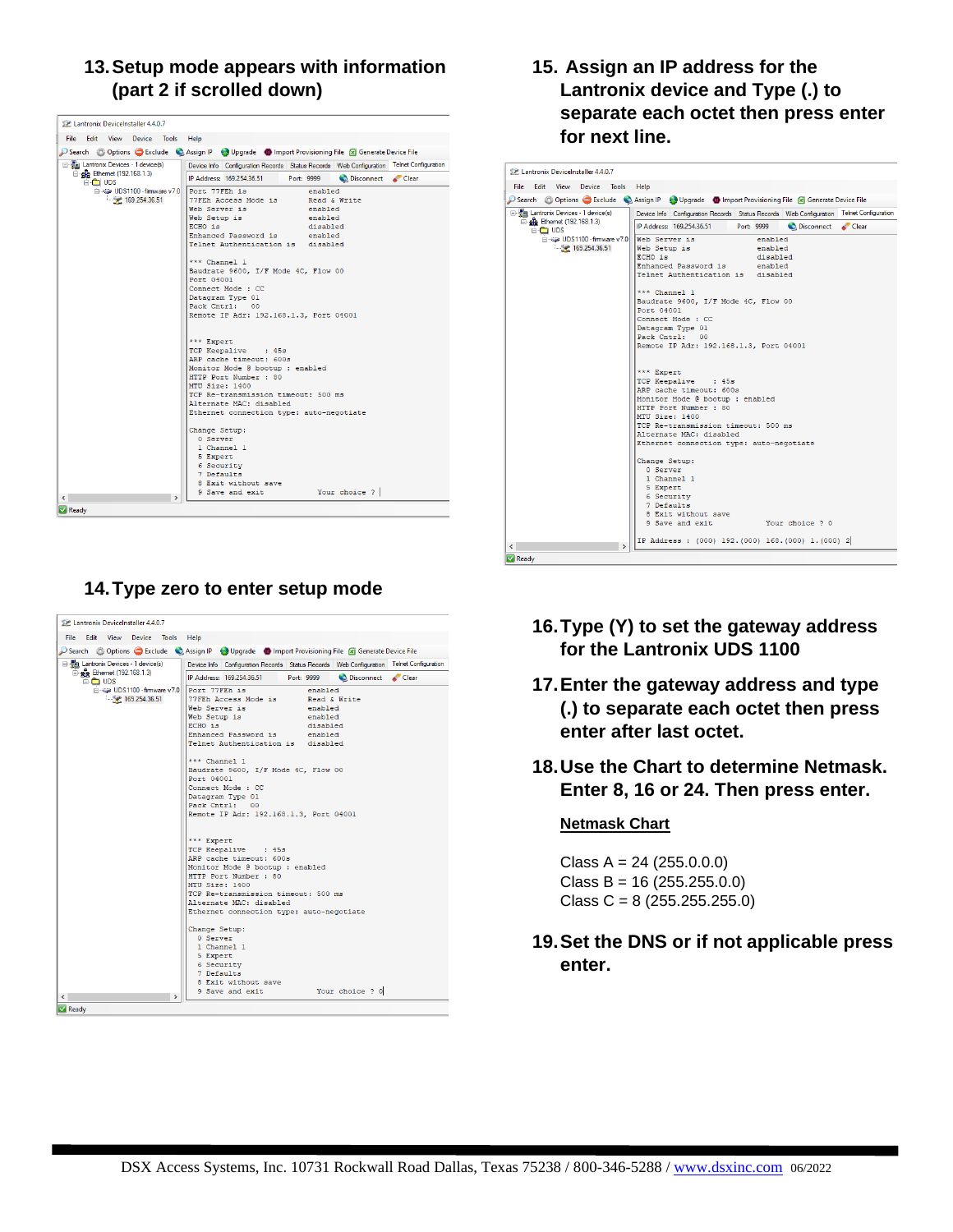# **13.Setup mode appears with information (part 2 if scrolled down)**

| Edit View<br>File<br>Device Tools Help<br>Search @ Options G Exclude & Assign IP @ Upgrade @ Import Provisioning File & Generate Device File<br>급· Tal Lantronix Devices - 1 device(s)<br>Device Info Configuration Records Status Records Web Configuration Telnet Configuration<br>in engle Ethernet (192.168.1.3)<br>IP Address: 169.254.36.51<br>Disconnect Clear<br>Port: 9999<br>e C UDS<br>UDS1100 - firmware v7.0<br>Port 77FEh is<br>enabled<br>169.254.36.51<br>77FEh Access Mode is Bead & Write<br>Web Server is<br>enabled<br>Web Setup is<br>enabled<br>ECHO is<br>disabled<br>Enhanced Password is enabled<br>Telnet Authentication is disabled<br>*** Channel 1<br>Baudrate 9600, I/F Mode 4C, Flow 00<br>Port 04001<br>Connect Mode : CC<br>Datagram Type 01<br>Pack Cntrl: 00<br>Remote IP Adr: 192.168.1.3, Port 04001<br>*** Expert<br>TCP Keepalive : 45s<br>ARP cache timeout: 600s<br>Monitor Mode @ bootup : enabled<br>HTTP Port Number : 80<br>MTU Size: 1400<br>TCP Re-transmission timeout: 500 ms<br>Alternate MAC: disabled<br>Ethernet connection type: auto-negotiate<br>Change Setup:<br>0 Server<br>1 Channel 1<br>5 Expert<br>6 Security |                          | 22 Lantronix DeviceInstaller 4.4.0.7 |  |  |  |  |  |
|-----------------------------------------------------------------------------------------------------------------------------------------------------------------------------------------------------------------------------------------------------------------------------------------------------------------------------------------------------------------------------------------------------------------------------------------------------------------------------------------------------------------------------------------------------------------------------------------------------------------------------------------------------------------------------------------------------------------------------------------------------------------------------------------------------------------------------------------------------------------------------------------------------------------------------------------------------------------------------------------------------------------------------------------------------------------------------------------------------------------------------------------------------------------------------|--------------------------|--------------------------------------|--|--|--|--|--|
|                                                                                                                                                                                                                                                                                                                                                                                                                                                                                                                                                                                                                                                                                                                                                                                                                                                                                                                                                                                                                                                                                                                                                                             |                          |                                      |  |  |  |  |  |
|                                                                                                                                                                                                                                                                                                                                                                                                                                                                                                                                                                                                                                                                                                                                                                                                                                                                                                                                                                                                                                                                                                                                                                             |                          |                                      |  |  |  |  |  |
|                                                                                                                                                                                                                                                                                                                                                                                                                                                                                                                                                                                                                                                                                                                                                                                                                                                                                                                                                                                                                                                                                                                                                                             |                          |                                      |  |  |  |  |  |
|                                                                                                                                                                                                                                                                                                                                                                                                                                                                                                                                                                                                                                                                                                                                                                                                                                                                                                                                                                                                                                                                                                                                                                             |                          |                                      |  |  |  |  |  |
|                                                                                                                                                                                                                                                                                                                                                                                                                                                                                                                                                                                                                                                                                                                                                                                                                                                                                                                                                                                                                                                                                                                                                                             |                          |                                      |  |  |  |  |  |
|                                                                                                                                                                                                                                                                                                                                                                                                                                                                                                                                                                                                                                                                                                                                                                                                                                                                                                                                                                                                                                                                                                                                                                             |                          |                                      |  |  |  |  |  |
| 7 Defaults<br>8 Exit without save<br>Your choice ?<br>9 Save and exit<br>$\rightarrow$                                                                                                                                                                                                                                                                                                                                                                                                                                                                                                                                                                                                                                                                                                                                                                                                                                                                                                                                                                                                                                                                                      | $\overline{\phantom{a}}$ |                                      |  |  |  |  |  |
| <b>Ready</b>                                                                                                                                                                                                                                                                                                                                                                                                                                                                                                                                                                                                                                                                                                                                                                                                                                                                                                                                                                                                                                                                                                                                                                |                          |                                      |  |  |  |  |  |

# **14.Type zero to enter setup mode**

| <b>De Lantronix DeviceInstaller 4.4.0.7</b>                           |                                                                                                                                                                                                                                                                                                                                                                               |
|-----------------------------------------------------------------------|-------------------------------------------------------------------------------------------------------------------------------------------------------------------------------------------------------------------------------------------------------------------------------------------------------------------------------------------------------------------------------|
| Edit View Device Tools Help<br>File:                                  |                                                                                                                                                                                                                                                                                                                                                                               |
|                                                                       | Search & Options Exclude & Assign IP & Upgrade C Import Provisioning File F Generate Device File                                                                                                                                                                                                                                                                              |
| 급· 뿐 Lantronix Devices - 1 device(s)                                  | Device Info   Configuration Records   Status Records   Web Configuration   Telnet Configuration                                                                                                                                                                                                                                                                               |
| □ gg Ethernet (192.168.1.3)                                           | IP Address: 169,254,36.51<br>Disconnect Clear<br>Port: 9999                                                                                                                                                                                                                                                                                                                   |
| e C UDS<br>A 40 UDS1100 - fimware v7.0 Port 77FEh is<br>169.254.36.51 | enabled<br>77FEh Access Mode is Read & Write<br>Web Server is<br>enabled<br>Web Setup is<br>enabled<br>ECHO is<br>disabled<br>Enhanced Password is<br>enabled<br>Telnet Authentication is disabled<br>*** Channel 1<br>Baudrate 9600, I/F Mode 4C, Flow 00<br>Port 04001<br>Connect Mode : CC<br>Datagram Type 01<br>Pack Cntrl: 00<br>Remote IP Adr: 192.168.1.3, Port 04001 |
|                                                                       | *** Expert<br>TCP Keepalive : 45s                                                                                                                                                                                                                                                                                                                                             |
|                                                                       | ARP cache timeout: 600s<br>Monitor Mode @ bootup : enabled                                                                                                                                                                                                                                                                                                                    |
|                                                                       | HTTP Port Number : 80                                                                                                                                                                                                                                                                                                                                                         |
|                                                                       | MTU Size: 1400                                                                                                                                                                                                                                                                                                                                                                |
|                                                                       | TCP Re-transmission timeout: 500 ms<br>Alternate MAC: disabled                                                                                                                                                                                                                                                                                                                |
|                                                                       | Ethernet connection type: auto-negotiate                                                                                                                                                                                                                                                                                                                                      |
|                                                                       | Change Setup:<br>0 Server                                                                                                                                                                                                                                                                                                                                                     |
|                                                                       | 1 Channel 1                                                                                                                                                                                                                                                                                                                                                                   |
|                                                                       | 5 Expert<br>6 Security                                                                                                                                                                                                                                                                                                                                                        |
|                                                                       | 7 Defaults                                                                                                                                                                                                                                                                                                                                                                    |
|                                                                       | 8 Exit without save                                                                                                                                                                                                                                                                                                                                                           |
| $\overline{\phantom{a}}$                                              | 9 Save and exit<br>Your choice ? 0                                                                                                                                                                                                                                                                                                                                            |
| Ready                                                                 |                                                                                                                                                                                                                                                                                                                                                                               |

# **15. Assign an IP address for the Lantronix device and Type (.) to separate each octet then press enter for next line.**

| File<br>Edit<br><b>View</b><br>Device Tools   | Help<br>Search & Options C Exclude & Assign IP & Upgrade C Import Provisioning File & Generate Device File                                                                                                                                                                                                                                                                        |
|-----------------------------------------------|-----------------------------------------------------------------------------------------------------------------------------------------------------------------------------------------------------------------------------------------------------------------------------------------------------------------------------------------------------------------------------------|
| □ 覺 Lantronix Devices - 1 device(s)           | Device Info Configuration Records Status Records Web Configuration Telnet Configuration                                                                                                                                                                                                                                                                                           |
| □ alle Ethernet (192.168.1.3)<br><b>BOUDS</b> | IP Address: 169.254.36.51<br>Port: 9999<br>Disconnect Clear                                                                                                                                                                                                                                                                                                                       |
| UDS1100 - firmware v7.0<br>169.254.36.51      | Web Server is the server of the server of the server of the server of the series of the series of the series o<br>enabled<br>Web Setup is<br>enabled<br>ECHO is<br>disabled<br>Enhanced Password is enabled<br>Telnet Authentication is disabled<br>*** Channel 1<br>Baudrate 9600, I/F Mode 4C, Flow 00<br>Port 04001<br>Connect Mode : CC<br>Datagram Type 01<br>Pack Cntrl: 00 |
|                                               | Remote IP Adr: 192.168.1.3, Port 04001<br>*** Expert<br>TCP Keepalive : 45s<br>ARP cache timeout: 600s<br>Monitor Mode @ bootup : enabled<br>HTTP Port Number : 80<br>MTU Size: 1400<br>TCP Re-transmission timeout: 500 ms<br>Alternate MAC: disabled<br>Ethernet connection type: auto-negotiate                                                                                |
|                                               | Change Setup:<br>0 Server<br>1 Channel 1<br>5 Expert<br>6 Security<br>7 Defaults<br>8 Exit without save<br>9 Save and exit Your choice ? 0                                                                                                                                                                                                                                        |
| $\overline{\phantom{a}}$<br>$\rightarrow$     | IP Address: (000) 192. (000) 168. (000) 1. (000) 2                                                                                                                                                                                                                                                                                                                                |

- **16.Type (Y) to set the gateway address for the Lantronix UDS 1100**
- **17.Enter the gateway address and type (.) to separate each octet then press enter after last octet.**
- **18.Use the Chart to determine Netmask. Enter 8, 16 or 24. Then press enter.**

#### **Netmask Chart**

- Class A = 24 (255.0.0.0) Class B = 16 (255.255.0.0) Class C =  $8(255.255.255.0)$
- **19.Set the DNS or if not applicable press enter.**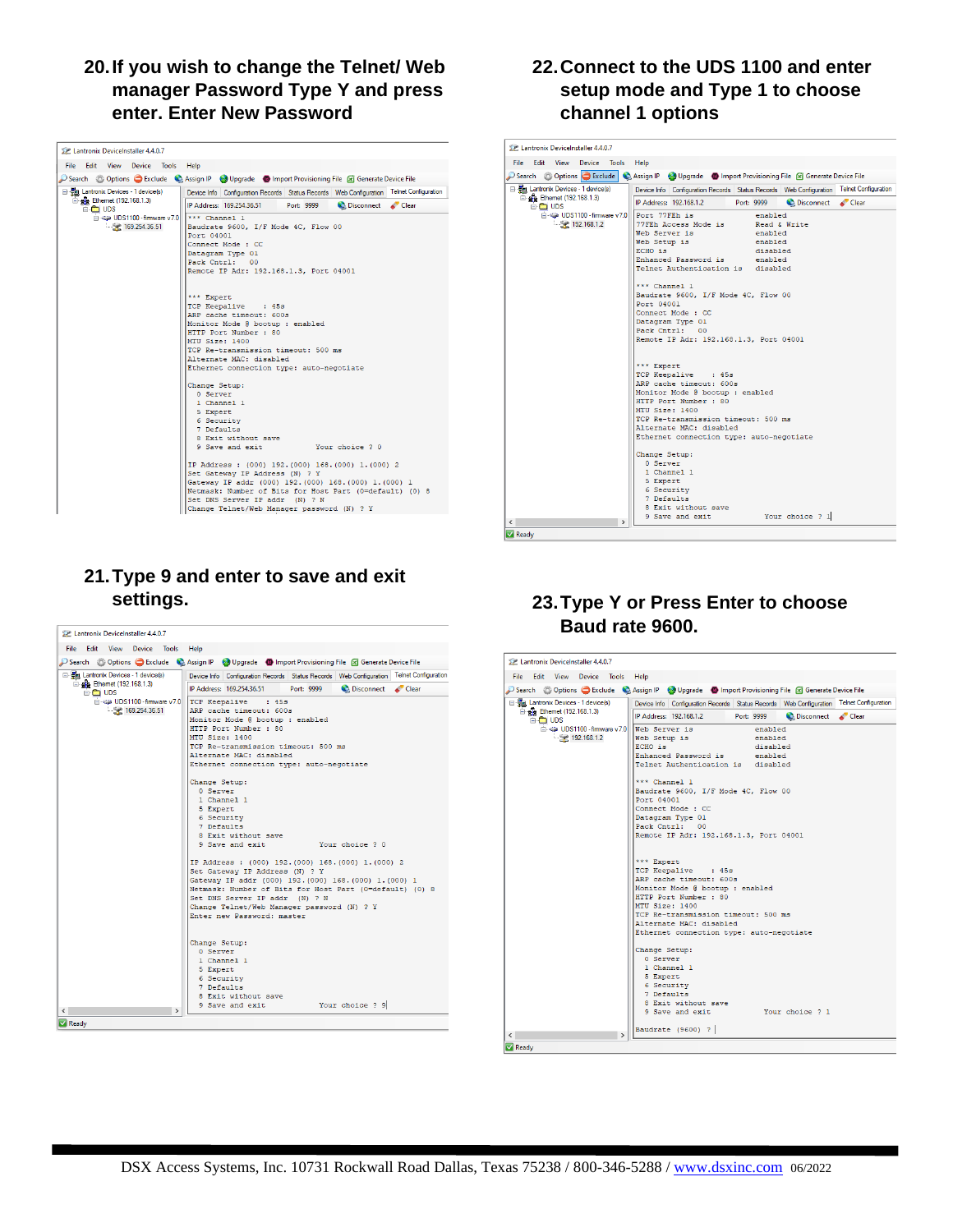# **20.If you wish to change the Telnet/ Web manager Password Type Y and press enter. Enter New Password**

| Edit View Device Tools Help<br>File:                                                                       |                                                                                                                                                                                                                                                                                                                                                                                                                                                                                                                                                                                                                                                                                                   |
|------------------------------------------------------------------------------------------------------------|---------------------------------------------------------------------------------------------------------------------------------------------------------------------------------------------------------------------------------------------------------------------------------------------------------------------------------------------------------------------------------------------------------------------------------------------------------------------------------------------------------------------------------------------------------------------------------------------------------------------------------------------------------------------------------------------------|
|                                                                                                            | Search & Options C Exclude & Assign IP W Upgrade @ Import Provisioning File S Generate Device File                                                                                                                                                                                                                                                                                                                                                                                                                                                                                                                                                                                                |
| <b>E-Sa Lantronix Devices - 1 device(s)</b>                                                                | Device Info   Configuration Records   Status Records   Web Configuration   Telnet Configuration                                                                                                                                                                                                                                                                                                                                                                                                                                                                                                                                                                                                   |
| □ gig Ethernet (192.168.1.3)<br><b>E-CO UDS</b><br>(a) - <a> UDS1100 - firmware v7.0<br/>169.254.36.51</a> | IP Address: 169.254.36.51<br>Clear<br>Port: 9999<br>$***$ Channel 1<br>Baudrate 9600, I/F Mode 4C, Flow 00<br>Port 04001<br>Connect Mode : CC<br>Datagram Type 01<br>Pack Cntrl: 00<br>Remote IP Adr: 192.168.1.3, Port 04001<br>*** Expert<br>TCP Keepalive : 45s<br>ARP cache timeout: 600s<br>Monitor Mode @ bootup : enabled<br>HTTP Port Number : 80<br>MTU Size: 1400<br>TCP Re-transmission timeout: 500 ms<br>Alternate MAC: disabled<br>Ethernet connection type: auto-negotiate<br>Change Setup:<br>0 Server<br>1 Channel 1<br>5 Expert<br>6 Security<br>7 Defaults<br>8 Exit without save<br>9 Save and exit<br>Your choice ? 0<br>IP Address : (000) 192. (000) 168. (000) 1. (000) 2 |
|                                                                                                            | Set Gateway IP Address (N) ? Y<br>Gateway IP addr (000) 192. (000) 168. (000) 1. (000) 1                                                                                                                                                                                                                                                                                                                                                                                                                                                                                                                                                                                                          |
|                                                                                                            | Netmask: Number of Bits for Host Part (0=default) (0) 8<br>Set DNS Server IP addr (N) ? N<br>Change Telnet/Web Manager password (N) ? Y                                                                                                                                                                                                                                                                                                                                                                                                                                                                                                                                                           |

# **21.Type 9 and enter to save and exit settings.**

| Edit View Device<br>File:<br>Tools<br>Help<br>Search & Options C Exclude & Assign IP Superade C Import Provisioning File 8 Generate Device File<br>日·體 Lantronix Devices - 1 device(s)<br>□ <sub>2</sub> Ethemet (192.168.1.3)<br>IP Address: 169.254.36.51<br><b>Port: 9999</b><br>Clear Clear<br><b>BO</b> UDS<br>DIS1100 - firmware v7.0<br>TCP Keepalive : 45s<br>169.254.36.51<br>ARP cache timeout: 600s<br>Monitor Mode @ bootup : enabled<br>HTTP Port Number : 80<br>MTU Size: 1400<br>TCP Re-transmission timeout: 500 ms<br>Alternate MAC: disabled<br>Ethernet connection type: auto-negotiate<br>Change Setup:<br>0 Server<br>1 Channel 1<br>5 Expert<br>6 Security<br>7 Defaults<br>8 Exit without save<br>9 Save and exit<br>Your choice ? 0<br>IP Address : (000) 192 (000) 168 (000) 1. (000) 2<br>Set Gateway IP Address (N) ? Y<br>Gateway IP addr (000) 192. (000) 168. (000) 1. (000) 1<br>Netmask: Number of Bits for Host Part (0=default) (0) 8<br>Set DNS Server IP addr (N) ? N | <b>DP. Lantronix DeviceInstaller 4.4.0.7</b> |                                                                                                 |
|-----------------------------------------------------------------------------------------------------------------------------------------------------------------------------------------------------------------------------------------------------------------------------------------------------------------------------------------------------------------------------------------------------------------------------------------------------------------------------------------------------------------------------------------------------------------------------------------------------------------------------------------------------------------------------------------------------------------------------------------------------------------------------------------------------------------------------------------------------------------------------------------------------------------------------------------------------------------------------------------------------------|----------------------------------------------|-------------------------------------------------------------------------------------------------|
|                                                                                                                                                                                                                                                                                                                                                                                                                                                                                                                                                                                                                                                                                                                                                                                                                                                                                                                                                                                                           |                                              |                                                                                                 |
|                                                                                                                                                                                                                                                                                                                                                                                                                                                                                                                                                                                                                                                                                                                                                                                                                                                                                                                                                                                                           |                                              |                                                                                                 |
|                                                                                                                                                                                                                                                                                                                                                                                                                                                                                                                                                                                                                                                                                                                                                                                                                                                                                                                                                                                                           |                                              | Device Info   Configuration Records   Status Records   Web Configuration   Telnet Configuration |
|                                                                                                                                                                                                                                                                                                                                                                                                                                                                                                                                                                                                                                                                                                                                                                                                                                                                                                                                                                                                           |                                              |                                                                                                 |
| Enter new Password: master<br>Change Setup:<br>0 Server<br>1 Channel 1<br>5 Expert<br>6 Security<br>7 Defaults<br>8 Exit without save<br>9 Save and exit<br>Your choice ? 9<br>$\rightarrow$                                                                                                                                                                                                                                                                                                                                                                                                                                                                                                                                                                                                                                                                                                                                                                                                              |                                              | Change Telnet/Web Manager password (N) ? Y                                                      |
| Ready                                                                                                                                                                                                                                                                                                                                                                                                                                                                                                                                                                                                                                                                                                                                                                                                                                                                                                                                                                                                     |                                              |                                                                                                 |

# **22.Connect to the UDS 1100 and enter setup mode and Type 1 to choose channel 1 options**

| File |                    | Edit View Device Tools                 |                                 |                         | Help                                                                                               |
|------|--------------------|----------------------------------------|---------------------------------|-------------------------|----------------------------------------------------------------------------------------------------|
|      |                    |                                        |                                 |                         | Search & Options C Exclude & Assign IP W Upgrade D Import Provisioning File F Generate Device File |
|      |                    | El- Fa Lantronix Devices - 1 device(s) |                                 |                         | Device Info   Configuration Records   Status Records   Web Configuration   Telnet Configuration    |
|      | ė <del>n</del> ups | □ gg Ethernet (192.168.1.3)            |                                 |                         | IP Address: 192.168.1.2 Port: 9999<br><b>C</b> Disconnect<br>Clear                                 |
|      |                    |                                        |                                 |                         | m <a -="" 77feh="" firmware="" is<br="" port="" uds1100="" v7.0="">enabled</a>                     |
|      |                    |                                        | 192.168.1.2                     |                         | 77FEh Access Mode is Bead & Write                                                                  |
|      |                    |                                        |                                 |                         | Web Server is<br>enabled                                                                           |
|      |                    |                                        |                                 |                         | Web Setup is<br>enabled                                                                            |
|      |                    |                                        |                                 |                         | ECHO is<br>disabled                                                                                |
|      |                    |                                        |                                 |                         | Enhanced Password is enabled                                                                       |
|      |                    |                                        |                                 |                         | Telnet Authentication is disabled                                                                  |
|      |                    |                                        |                                 |                         | *** Channel 1                                                                                      |
|      |                    |                                        |                                 |                         | Baudrate 9600, I/F Mode 4C, Flow 00                                                                |
|      |                    |                                        |                                 |                         | Port 04001                                                                                         |
|      |                    |                                        |                                 |                         | Connect Mode : CC                                                                                  |
|      |                    |                                        |                                 |                         | Datagram Type 01                                                                                   |
|      |                    |                                        |                                 |                         | Pack Cntrl: 00                                                                                     |
|      |                    |                                        |                                 |                         | Remote IP Adr: 192.168.1.3, Port 04001                                                             |
|      |                    |                                        |                                 |                         |                                                                                                    |
|      |                    |                                        |                                 |                         | *** Expert                                                                                         |
|      |                    |                                        |                                 |                         | TCP Keepalive : 45s                                                                                |
|      |                    |                                        |                                 | ARP cache timeout: 600s |                                                                                                    |
|      |                    |                                        | Monitor Mode @ bootup : enabled |                         |                                                                                                    |
|      |                    |                                        |                                 |                         | HTTP Port Number : 80                                                                              |
|      |                    |                                        |                                 |                         | MTU Size: 1400                                                                                     |
|      |                    |                                        |                                 |                         | TCP Re-transmission timeout: 500 ms                                                                |
|      |                    |                                        |                                 |                         | Alternate MAC: disabled                                                                            |
|      |                    |                                        |                                 |                         | Ethernet connection type: auto-negotiate                                                           |
|      |                    |                                        |                                 |                         | Change Setup:                                                                                      |
|      |                    |                                        |                                 |                         | 0 Server                                                                                           |
|      |                    |                                        |                                 |                         | 1 Channel 1                                                                                        |
|      |                    |                                        |                                 |                         | 5 Expert                                                                                           |
|      |                    |                                        |                                 |                         | 6 Security                                                                                         |
|      |                    |                                        |                                 |                         | 7 Defaults                                                                                         |
|      |                    |                                        |                                 |                         | 8 Exit without save                                                                                |
| ←    |                    |                                        |                                 | $\mathbf{r}$            | 9 Save and exit<br>Your choice ? 1                                                                 |

# **23.Type Y or Press Enter to choose Baud rate 9600.**